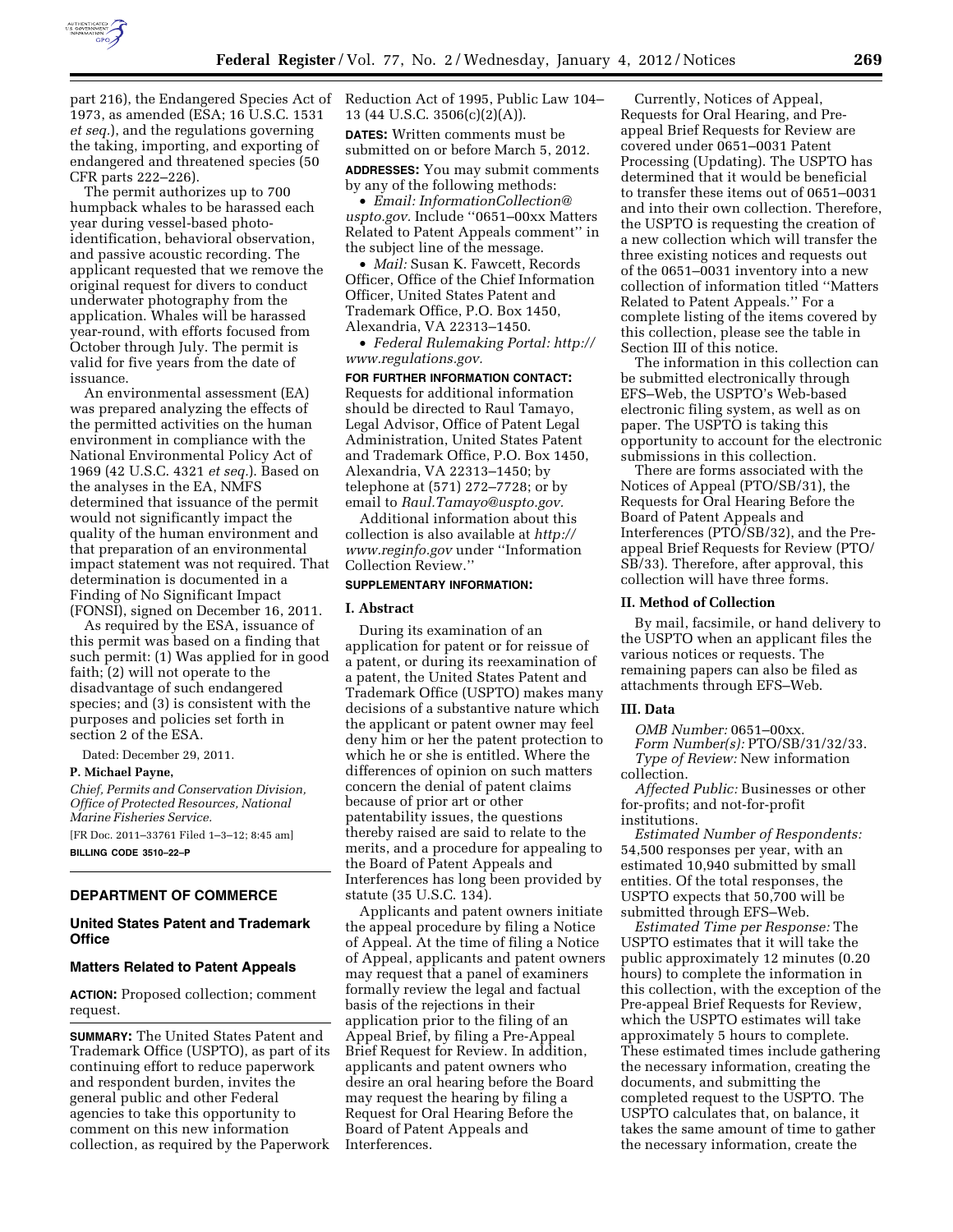

part 216), the Endangered Species Act of Reduction Act of 1995, Public Law 104– 1973, as amended (ESA; 16 U.S.C. 1531 *et seq.*), and the regulations governing the taking, importing, and exporting of endangered and threatened species (50 CFR parts 222–226).

The permit authorizes up to 700 humpback whales to be harassed each year during vessel-based photoidentification, behavioral observation, and passive acoustic recording. The applicant requested that we remove the original request for divers to conduct underwater photography from the application. Whales will be harassed year-round, with efforts focused from October through July. The permit is valid for five years from the date of issuance.

An environmental assessment (EA) was prepared analyzing the effects of the permitted activities on the human environment in compliance with the National Environmental Policy Act of 1969 (42 U.S.C. 4321 *et seq.*). Based on the analyses in the EA, NMFS determined that issuance of the permit would not significantly impact the quality of the human environment and that preparation of an environmental impact statement was not required. That determination is documented in a Finding of No Significant Impact (FONSI), signed on December 16, 2011.

As required by the ESA, issuance of this permit was based on a finding that such permit: (1) Was applied for in good faith; (2) will not operate to the disadvantage of such endangered species; and (3) is consistent with the purposes and policies set forth in section 2 of the ESA.

Dated: December 29, 2011.

**P. Michael Payne,** 

*Chief, Permits and Conservation Division, Office of Protected Resources, National Marine Fisheries Service.*  [FR Doc. 2011–33761 Filed 1–3–12; 8:45 am] **BILLING CODE 3510–22–P** 

# **DEPARTMENT OF COMMERCE**

# **United States Patent and Trademark Office**

# **Matters Related to Patent Appeals**

**ACTION:** Proposed collection; comment request.

**SUMMARY:** The United States Patent and Trademark Office (USPTO), as part of its continuing effort to reduce paperwork and respondent burden, invites the general public and other Federal agencies to take this opportunity to comment on this new information collection, as required by the Paperwork 13 (44 U.S.C. 3506(c)(2)(A)). **DATES:** Written comments must be submitted on or before March 5, 2012. **ADDRESSES:** You may submit comments by any of the following methods:

• *Email: [InformationCollection@](mailto:InformationCollection@uspto.gov) [uspto.gov.](mailto:InformationCollection@uspto.gov)* Include ''0651–00xx Matters Related to Patent Appeals comment'' in the subject line of the message.

• *Mail:* Susan K. Fawcett, Records Officer, Office of the Chief Information Officer, United States Patent and Trademark Office, P.O. Box 1450, Alexandria, VA 22313–1450.

• *Federal Rulemaking Portal: [http://](http://www.regulations.gov) [www.regulations.gov.](http://www.regulations.gov)* 

**FOR FURTHER INFORMATION CONTACT:**  Requests for additional information should be directed to Raul Tamayo, Legal Advisor, Office of Patent Legal Administration, United States Patent and Trademark Office, P.O. Box 1450, Alexandria, VA 22313–1450; by telephone at (571) 272–7728; or by email to *[Raul.Tamayo@uspto.gov.](mailto:Raul.Tamayo@uspto.gov)* 

Additional information about this collection is also available at *[http://](http://www.reginfo.gov) [www.reginfo.gov](http://www.reginfo.gov)* under ''Information Collection Review.''

# **SUPPLEMENTARY INFORMATION:**

# **I. Abstract**

During its examination of an application for patent or for reissue of a patent, or during its reexamination of a patent, the United States Patent and Trademark Office (USPTO) makes many decisions of a substantive nature which the applicant or patent owner may feel deny him or her the patent protection to which he or she is entitled. Where the differences of opinion on such matters concern the denial of patent claims because of prior art or other patentability issues, the questions thereby raised are said to relate to the merits, and a procedure for appealing to the Board of Patent Appeals and Interferences has long been provided by statute (35 U.S.C. 134).

Applicants and patent owners initiate the appeal procedure by filing a Notice of Appeal. At the time of filing a Notice of Appeal, applicants and patent owners may request that a panel of examiners formally review the legal and factual basis of the rejections in their application prior to the filing of an Appeal Brief, by filing a Pre-Appeal Brief Request for Review. In addition, applicants and patent owners who desire an oral hearing before the Board may request the hearing by filing a Request for Oral Hearing Before the Board of Patent Appeals and Interferences.

Currently, Notices of Appeal, Requests for Oral Hearing, and Preappeal Brief Requests for Review are covered under 0651–0031 Patent Processing (Updating). The USPTO has determined that it would be beneficial to transfer these items out of 0651–0031 and into their own collection. Therefore, the USPTO is requesting the creation of a new collection which will transfer the three existing notices and requests out of the 0651–0031 inventory into a new collection of information titled ''Matters Related to Patent Appeals.'' For a complete listing of the items covered by this collection, please see the table in Section III of this notice.

The information in this collection can be submitted electronically through EFS–Web, the USPTO's Web-based electronic filing system, as well as on paper. The USPTO is taking this opportunity to account for the electronic submissions in this collection.

There are forms associated with the Notices of Appeal (PTO/SB/31), the Requests for Oral Hearing Before the Board of Patent Appeals and Interferences (PTO/SB/32), and the Preappeal Brief Requests for Review (PTO/ SB/33). Therefore, after approval, this collection will have three forms.

### **II. Method of Collection**

By mail, facsimile, or hand delivery to the USPTO when an applicant files the various notices or requests. The remaining papers can also be filed as attachments through EFS–Web.

# **III. Data**

*OMB Number:* 0651–00xx. *Form Number(s):* PTO/SB/31/32/33. *Type of Review:* New information collection.

*Affected Public:* Businesses or other for-profits; and not-for-profit institutions.

*Estimated Number of Respondents:*  54,500 responses per year, with an estimated 10,940 submitted by small entities. Of the total responses, the USPTO expects that 50,700 will be submitted through EFS–Web.

*Estimated Time per Response:* The USPTO estimates that it will take the public approximately 12 minutes (0.20 hours) to complete the information in this collection, with the exception of the Pre-appeal Brief Requests for Review, which the USPTO estimates will take approximately 5 hours to complete. These estimated times include gathering the necessary information, creating the documents, and submitting the completed request to the USPTO. The USPTO calculates that, on balance, it takes the same amount of time to gather the necessary information, create the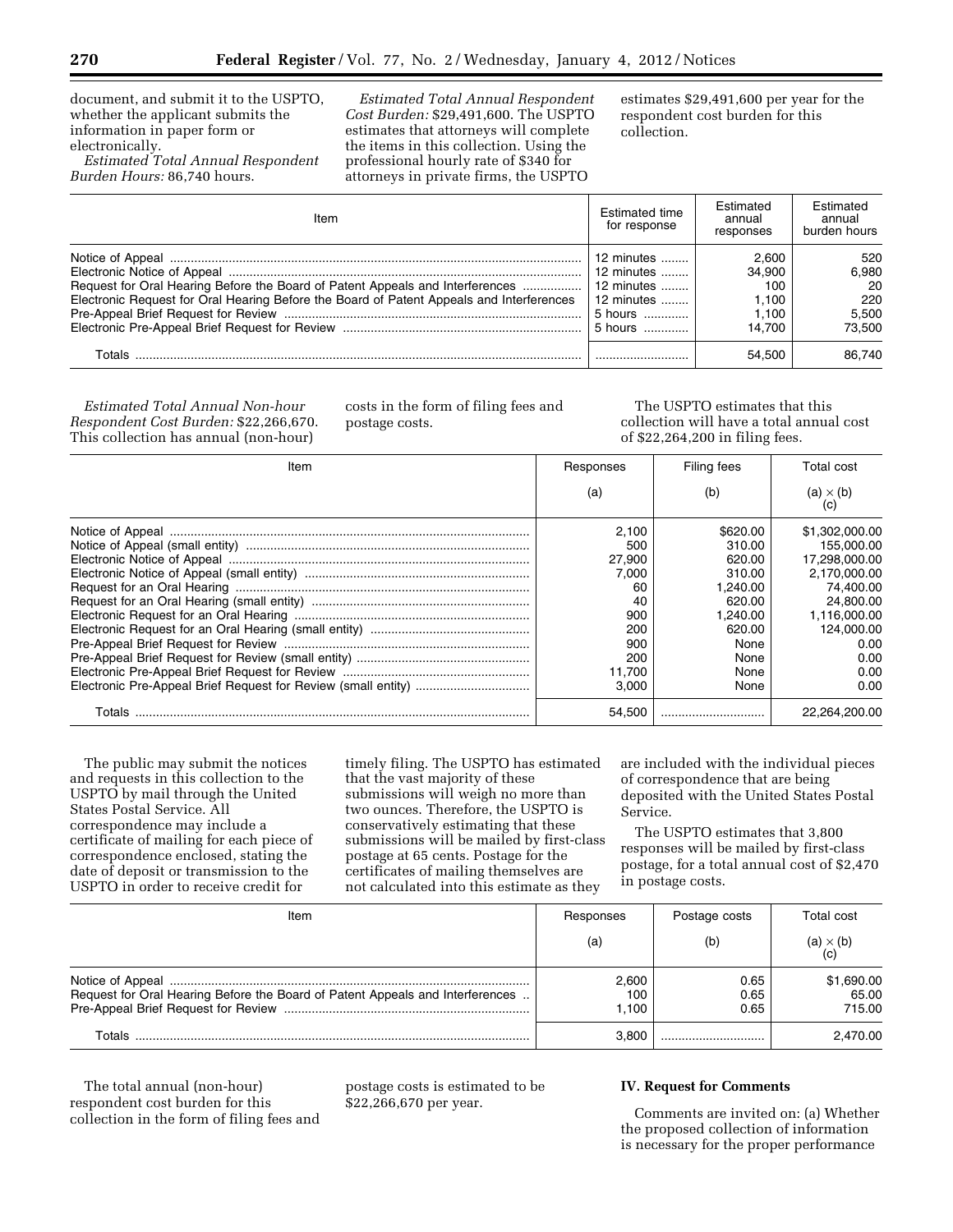document, and submit it to the USPTO, whether the applicant submits the information in paper form or electronically.

*Estimated Total Annual Respondent Burden Hours:* 86,740 hours.

*Estimated Total Annual Respondent Cost Burden:* \$29,491,600. The USPTO estimates that attorneys will complete the items in this collection. Using the professional hourly rate of \$340 for attorneys in private firms, the USPTO

estimates \$29,491,600 per year for the respondent cost burden for this collection.

| Item                                                                                                                                                                      | Estimated time<br>for response                                                      | Estimated<br>annual<br>responses                   | <b>Fstimated</b><br>annual<br>burden hours   |
|---------------------------------------------------------------------------------------------------------------------------------------------------------------------------|-------------------------------------------------------------------------------------|----------------------------------------------------|----------------------------------------------|
| Request for Oral Hearing Before the Board of Patent Appeals and Interferences<br>Electronic Request for Oral Hearing Before the Board of Patent Appeals and Interferences | 12 minutes<br>12 minutes<br>12 minutes<br>12 minutes $\ldots$<br>5 hours<br>5 hours | 2.600<br>34.900<br>100<br>1.100<br>1.100<br>14.700 | 520<br>6.980<br>20<br>220<br>5.500<br>73.500 |
| Totals                                                                                                                                                                    |                                                                                     | 54.500                                             | 86.740                                       |

*Estimated Total Annual Non-hour Respondent Cost Burden:* \$22,266,670. This collection has annual (non-hour)

costs in the form of filing fees and postage costs.

The USPTO estimates that this collection will have a total annual cost of \$22,264,200 in filing fees.

| Item   | Responses | Filing fees | Total cost              |
|--------|-----------|-------------|-------------------------|
|        | (a)       | (b)         | $(a) \times (b)$<br>(C) |
|        | 2.100     | \$620.00    | \$1,302,000.00          |
|        | 500       | 310.00      | 155.000.00              |
|        | 27,900    | 620.00      | 17.298.000.00           |
|        | 7.000     | 310.00      | 2.170.000.00            |
|        | 60        | 1.240.00    | 74.400.00               |
|        | 40        | 620.00      | 24.800.00               |
|        | 900       | 1.240.00    | 1.116.000.00            |
|        | 200       | 620.00      | 124.000.00              |
|        | 900       | None        | 0.00                    |
|        | 200       | None        | 0.00                    |
|        | 11.700    | None        | 0.00                    |
|        | 3.000     | None        | 0.00                    |
| Totals | 54,500    |             | 22.264.200.00           |

The public may submit the notices and requests in this collection to the USPTO by mail through the United States Postal Service. All correspondence may include a certificate of mailing for each piece of correspondence enclosed, stating the date of deposit or transmission to the USPTO in order to receive credit for

timely filing. The USPTO has estimated that the vast majority of these submissions will weigh no more than two ounces. Therefore, the USPTO is conservatively estimating that these submissions will be mailed by first-class postage at 65 cents. Postage for the certificates of mailing themselves are not calculated into this estimate as they

are included with the individual pieces of correspondence that are being deposited with the United States Postal Service.

The USPTO estimates that 3,800 responses will be mailed by first-class postage, for a total annual cost of \$2,470 in postage costs.

| Item                                                                          | Responses             | Postage costs        | Total cost                    |
|-------------------------------------------------------------------------------|-----------------------|----------------------|-------------------------------|
|                                                                               | (a)                   | (b)                  | $(a) \times (b)$<br>(c)       |
| Request for Oral Hearing Before the Board of Patent Appeals and Interferences | 2.600<br>100<br>1.100 | 0.65<br>0.65<br>0.65 | \$1,690.00<br>65.00<br>715.00 |
| Totals                                                                        | 3.800                 |                      | 2.470.00                      |

The total annual (non-hour) respondent cost burden for this collection in the form of filing fees and postage costs is estimated to be \$22,266,670 per year.

# **IV. Request for Comments**

Comments are invited on: (a) Whether the proposed collection of information is necessary for the proper performance